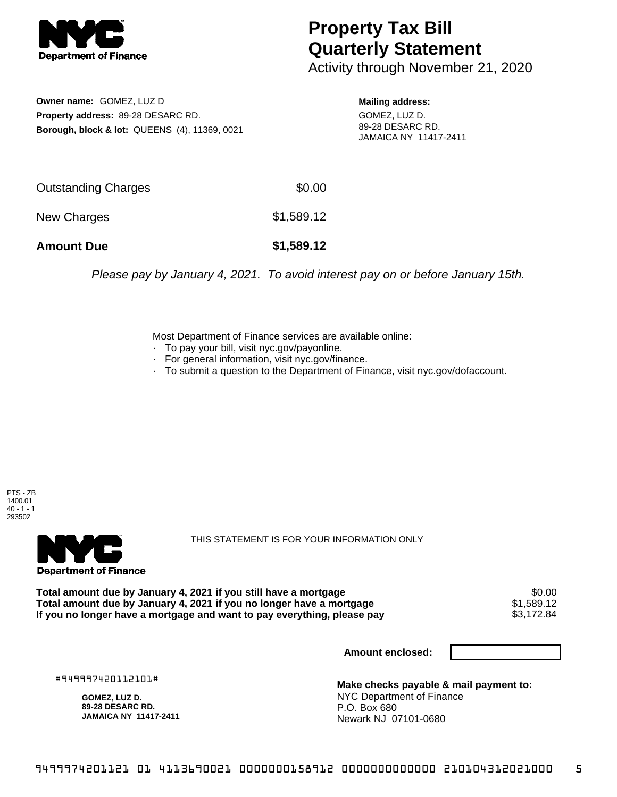

## **Property Tax Bill Quarterly Statement**

Activity through November 21, 2020

**Owner name:** GOMEZ, LUZ D **Property address:** 89-28 DESARC RD. **Borough, block & lot:** QUEENS (4), 11369, 0021

**Mailing address:** GOMEZ, LUZ D. 89-28 DESARC RD. JAMAICA NY 11417-2411

| <b>Amount Due</b>   | \$1,589.12 |
|---------------------|------------|
| New Charges         | \$1,589.12 |
| Outstanding Charges | \$0.00     |

Please pay by January 4, 2021. To avoid interest pay on or before January 15th.

Most Department of Finance services are available online:

- · To pay your bill, visit nyc.gov/payonline.
- For general information, visit nyc.gov/finance.
- · To submit a question to the Department of Finance, visit nyc.gov/dofaccount.





THIS STATEMENT IS FOR YOUR INFORMATION ONLY

Total amount due by January 4, 2021 if you still have a mortgage \$0.00<br>Total amount due by January 4, 2021 if you no longer have a mortgage \$1.589.12 **Total amount due by January 4, 2021 if you no longer have a mortgage**  $$1,589.12$$ **<br>If you no longer have a mortgage and want to pay everything, please pay**  $$3,172.84$$ If you no longer have a mortgage and want to pay everything, please pay

**Amount enclosed:**

#949997420112101#

**GOMEZ, LUZ D. 89-28 DESARC RD. JAMAICA NY 11417-2411**

**Make checks payable & mail payment to:** NYC Department of Finance P.O. Box 680 Newark NJ 07101-0680